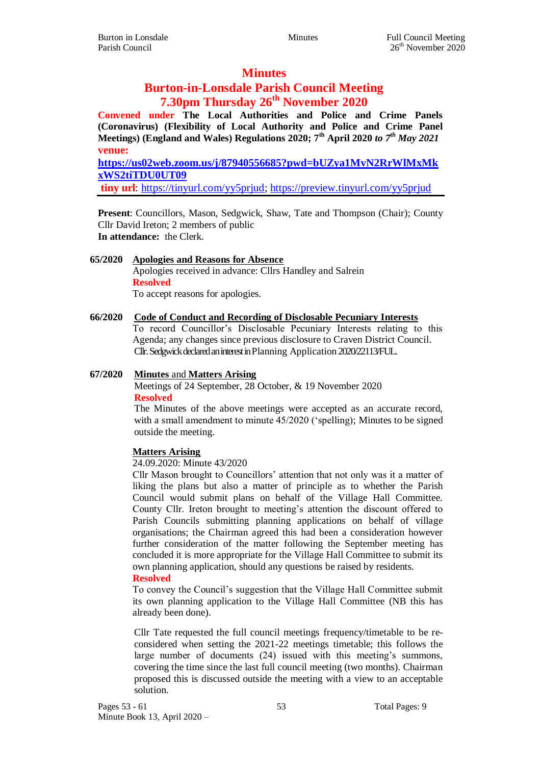# **Minutes**

# **Burton-in-Lonsdale Parish Council Meeting 7.30pm Thursday 26th November 2020**

**Convened under The Local Authorities and Police and Crime Panels (Coronavirus) (Flexibility of Local Authority and Police and Crime Panel Meetings) (England and Wales) Regulations 2020; 7th April 2020** *to 7th May 2021* **venue:** 

**[https://us02web.zoom.us/j/87940556685?pwd=bUZya1MvN2RrWlMxMk](https://us02web.zoom.us/j/87940556685?pwd=bUZya1MvN2RrWlMxMkxWS2tiTDU0UT09) [xWS2tiTDU0UT09](https://us02web.zoom.us/j/87940556685?pwd=bUZya1MvN2RrWlMxMkxWS2tiTDU0UT09)**

**tiny url**: [https://tinyurl.com/yy5prjud;](https://tinyurl.com/yy5prjud)<https://preview.tinyurl.com/yy5prjud>

**Present**: Councillors, Mason, Sedgwick, Shaw, Tate and Thompson (Chair); County Cllr David Ireton; 2 members of public **In attendance:** the Clerk.

# **65/2020 Apologies and Reasons for Absence**

Apologies received in advance: Cllrs Handley and Salrein **Resolved** To accept reasons for apologies.

# **66/2020 Code of Conduct and Recording of Disclosable Pecuniary Interests**

To record Councillor's Disclosable Pecuniary Interests relating to this Agenda; any changes since previous disclosure to Craven District Council. Cllr.Sedgwick declared an interest in Planning Application 2020/22113/FUL.

# **67/2020 Minutes** and **Matters Arising**

Meetings of 24 September, 28 October, & 19 November 2020 **Resolved**

The Minutes of the above meetings were accepted as an accurate record, with a small amendment to minute  $45/2020$  ('spelling); Minutes to be signed outside the meeting.

# **Matters Arising**

24.09.2020: Minute 43/2020

Cllr Mason brought to Councillors' attention that not only was it a matter of liking the plans but also a matter of principle as to whether the Parish Council would submit plans on behalf of the Village Hall Committee. County Cllr. Ireton brought to meeting's attention the discount offered to Parish Councils submitting planning applications on behalf of village organisations; the Chairman agreed this had been a consideration however further consideration of the matter following the September meeting has concluded it is more appropriate for the Village Hall Committee to submit its own planning application, should any questions be raised by residents.

#### **Resolved**

To convey the Council's suggestion that the Village Hall Committee submit its own planning application to the Village Hall Committee (NB this has already been done).

Cllr Tate requested the full council meetings frequency/timetable to be reconsidered when setting the 2021-22 meetings timetable; this follows the large number of documents (24) issued with this meeting's summons, covering the time since the last full council meeting (two months). Chairman proposed this is discussed outside the meeting with a view to an acceptable solution.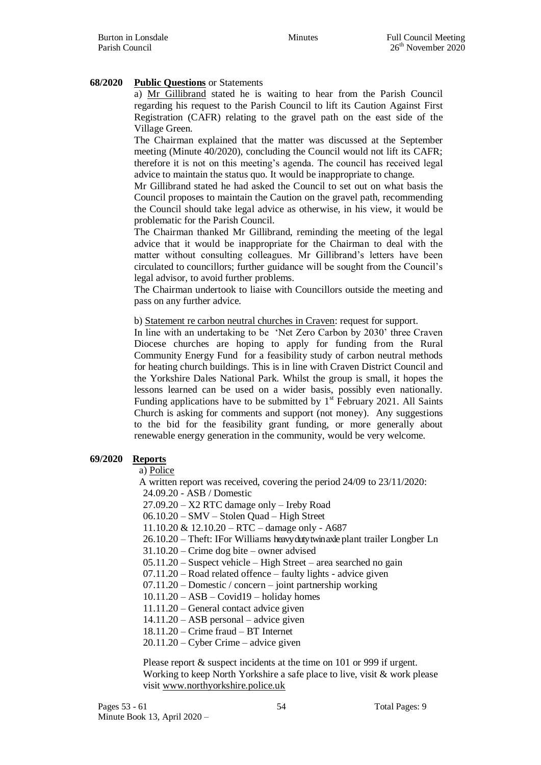# **68/2020 Public Questions** or Statements

a) Mr Gillibrand stated he is waiting to hear from the Parish Council regarding his request to the Parish Council to lift its Caution Against First Registration (CAFR) relating to the gravel path on the east side of the Village Green.

The Chairman explained that the matter was discussed at the September meeting (Minute 40/2020), concluding the Council would not lift its CAFR; therefore it is not on this meeting's agenda. The council has received legal advice to maintain the status quo. It would be inappropriate to change.

Mr Gillibrand stated he had asked the Council to set out on what basis the Council proposes to maintain the Caution on the gravel path, recommending the Council should take legal advice as otherwise, in his view, it would be problematic for the Parish Council.

The Chairman thanked Mr Gillibrand, reminding the meeting of the legal advice that it would be inappropriate for the Chairman to deal with the matter without consulting colleagues. Mr Gillibrand's letters have been circulated to councillors; further guidance will be sought from the Council's legal advisor, to avoid further problems.

The Chairman undertook to liaise with Councillors outside the meeting and pass on any further advice.

b) Statement re carbon neutral churches in Craven: request for support.

In line with an undertaking to be 'Net Zero Carbon by 2030' three Craven Diocese churches are hoping to apply for funding from the Rural Community Energy Fund for a feasibility study of carbon neutral methods for heating church buildings. This is in line with Craven District Council and the Yorkshire Dales National Park. Whilst the group is small, it hopes the lessons learned can be used on a wider basis, possibly even nationally. Funding applications have to be submitted by  $1<sup>st</sup>$  February 2021. All Saints Church is asking for comments and support (not money). Any suggestions to the bid for the feasibility grant funding, or more generally about renewable energy generation in the community, would be very welcome.

# **69/2020 Reports**

a) Police

A written report was received, covering the period 24/09 to 23/11/2020:

24.09.20 - ASB / Domestic

27.09.20 – X2 RTC damage only – Ireby Road

06.10.20 – SMV – Stolen Quad – High Street

11.10.20 & 12.10.20 – RTC – damage only - A687

26.10.20 – Theft: IFor Williams heavy duty twin axle plant trailer Longber Ln

31.10.20 – Crime dog bite – owner advised

05.11.20 – Suspect vehicle – High Street – area searched no gain

07.11.20 – Road related offence – faulty lights - advice given

07.11.20 – Domestic / concern – joint partnership working

 $10.11.20 - ASB - Covid19 - holiday homes$ 

11.11.20 – General contact advice given

14.11.20 – ASB personal – advice given

18.11.20 – Crime fraud – BT Internet

20.11.20 – Cyber Crime – advice given

Please report  $&$  suspect incidents at the time on 101 or 999 if urgent. Working to keep North Yorkshire a safe place to live, visit & work please visit [www.northyorkshire.police.uk](http://www.northyorkshire.police.uk/)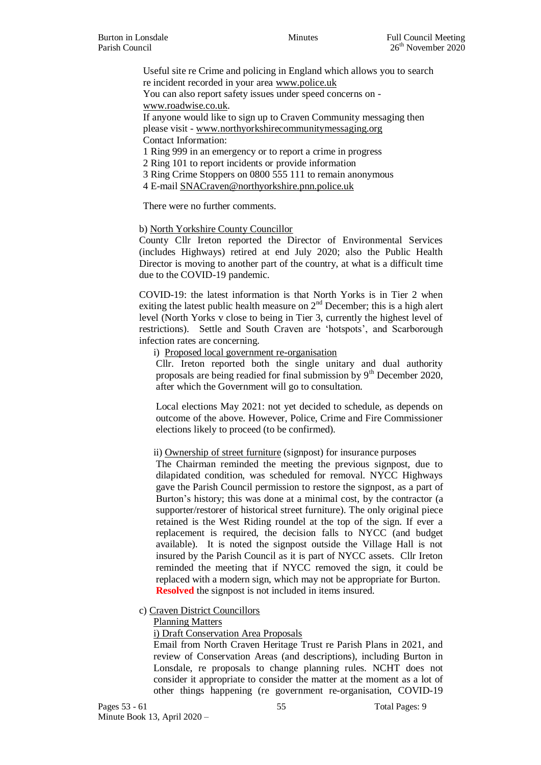Useful site re Crime and policing in England which allows you to search re incident recorded in your area [www.police.uk](http://www.police.uk/) You can also report safety issues under speed concerns on [www.roadwise.co.uk.](http://www.roadwise.co.uk/) If anyone would like to sign up to Craven Community messaging then

please visit - [www.northyorkshirecommunitymessaging.org](http://www.northyorkshirecommunitymessaging.org/) Contact Information:

1 Ring 999 in an emergency or to report a crime in progress

2 Ring 101 to report incidents or provide information

3 Ring Crime Stoppers on 0800 555 111 to remain anonymous

4 E-mail [SNACraven@northyorkshire.pnn.police.uk](mailto:SNACraven@northyorkshire.pnn.police.uk)

There were no further comments.

b) North Yorkshire County Councillor

County Cllr Ireton reported the Director of Environmental Services (includes Highways) retired at end July 2020; also the Public Health Director is moving to another part of the country, at what is a difficult time due to the COVID-19 pandemic.

COVID-19: the latest information is that North Yorks is in Tier 2 when exiting the latest public health measure on  $2<sup>nd</sup>$  December; this is a high alert level (North Yorks v close to being in Tier 3, currently the highest level of restrictions). Settle and South Craven are 'hotspots', and Scarborough infection rates are concerning.

i) Proposed local government re-organisation

Cllr. Ireton reported both the single unitary and dual authority proposals are being readied for final submission by  $9<sup>th</sup>$  December 2020, after which the Government will go to consultation.

Local elections May 2021: not yet decided to schedule, as depends on outcome of the above. However, Police, Crime and Fire Commissioner elections likely to proceed (to be confirmed).

ii) Ownership of street furniture (signpost) for insurance purposes

The Chairman reminded the meeting the previous signpost, due to dilapidated condition, was scheduled for removal. NYCC Highways gave the Parish Council permission to restore the signpost, as a part of Burton's history; this was done at a minimal cost, by the contractor (a supporter/restorer of historical street furniture). The only original piece retained is the West Riding roundel at the top of the sign. If ever a replacement is required, the decision falls to NYCC (and budget available). It is noted the signpost outside the Village Hall is not insured by the Parish Council as it is part of NYCC assets. Cllr Ireton reminded the meeting that if NYCC removed the sign, it could be replaced with a modern sign, which may not be appropriate for Burton. **Resolved** the signpost is not included in items insured.

#### c) Craven District Councillors

#### Planning Matters

i) Draft Conservation Area Proposals

Email from North Craven Heritage Trust re Parish Plans in 2021, and review of Conservation Areas (and descriptions), including Burton in Lonsdale, re proposals to change planning rules. NCHT does not consider it appropriate to consider the matter at the moment as a lot of other things happening (re government re-organisation, COVID-19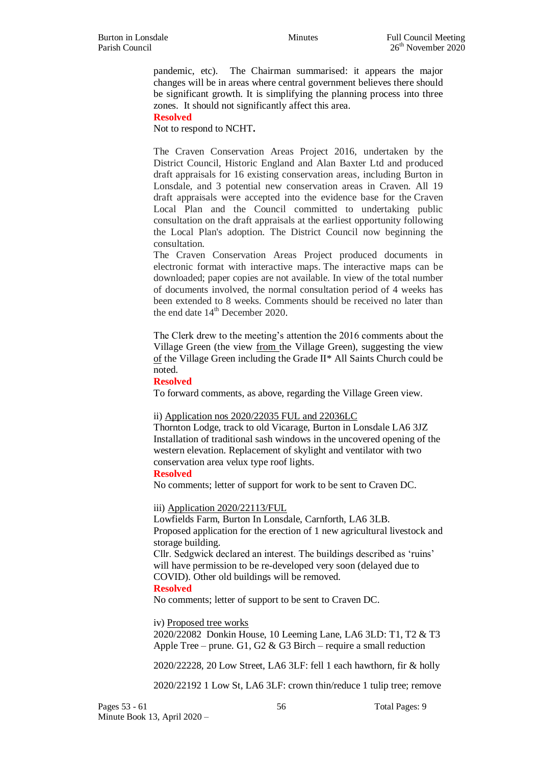pandemic, etc). The Chairman summarised: it appears the major changes will be in areas where central government believes there should be significant growth. It is simplifying the planning process into three zones. It should not significantly affect this area.

**Resolved**

Not to respond to NCHT**.**

The Craven Conservation Areas Project 2016, undertaken by the District Council, Historic England and Alan Baxter Ltd and produced draft appraisals for 16 existing conservation areas, including Burton in Lonsdale, and 3 potential new conservation areas in Craven. All 19 draft appraisals were accepted into the evidence base for the Craven Local Plan and the Council committed to undertaking public consultation on the draft appraisals at the earliest opportunity following the Local Plan's adoption. The District Council now beginning the consultation.

The Craven Conservation Areas Project produced documents in electronic format with interactive maps. The interactive maps can be downloaded; paper copies are not available. In view of the total number of documents involved, the normal consultation period of 4 weeks has been extended to 8 weeks. Comments should be received no later than the end date  $14<sup>th</sup>$  December 2020.

The Clerk drew to the meeting's attention the 2016 comments about the Village Green (the view from the Village Green), suggesting the view of the Village Green including the Grade II\* All Saints Church could be noted.

**Resolved**

To forward comments, as above, regarding the Village Green view.

#### ii) Application nos 2020/22035 FUL and 22036LC

Thornton Lodge, track to old Vicarage, Burton in Lonsdale LA6 3JZ Installation of traditional sash windows in the uncovered opening of the western elevation. Replacement of skylight and ventilator with two conservation area velux type roof lights.

**Resolved**

No comments; letter of support for work to be sent to Craven DC.

iii) Application 2020/22113/FUL

Lowfields Farm, Burton In Lonsdale, Carnforth, LA6 3LB. Proposed application for the erection of 1 new agricultural livestock and storage building.

Cllr. Sedgwick declared an interest. The buildings described as 'ruins' will have permission to be re-developed very soon (delayed due to COVID). Other old buildings will be removed.

#### **Resolved**

No comments; letter of support to be sent to Craven DC.

iv) Proposed tree works

2020/22082 Donkin House, 10 Leeming Lane, LA6 3LD: T1, T2 & T3 Apple Tree – prune. G1, G2 & G3 Birch – require a small reduction

2020/22228, 20 Low Street, LA6 3LF: fell 1 each hawthorn, fir & holly

2020/22192 1 Low St, LA6 3LF: crown thin/reduce 1 tulip tree; remove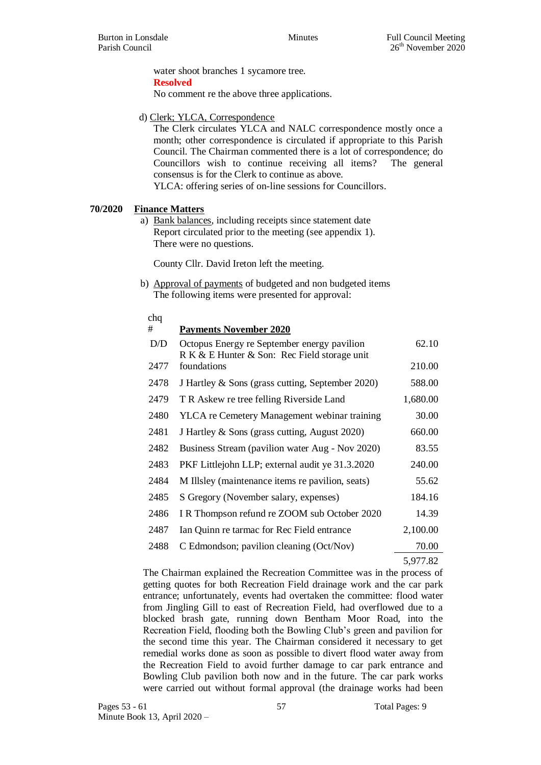water shoot branches 1 sycamore tree. **Resolved**

No comment re the above three applications.

d) Clerk; YLCA, Correspondence

The Clerk circulates YLCA and NALC correspondence mostly once a month; other correspondence is circulated if appropriate to this Parish Council. The Chairman commented there is a lot of correspondence; do Councillors wish to continue receiving all items? The general consensus is for the Clerk to continue as above. YLCA: offering series of on-line sessions for Councillors.

# **70/2020 Finance Matters**

a) Bank balances, including receipts since statement date Report circulated prior to the meeting (see appendix 1). There were no questions.

County Cllr. David Ireton left the meeting.

b) Approval of payments of budgeted and non budgeted items The following items were presented for approval:

#### chq

| #    | <b>Payments November 2020</b>                                                               |          |
|------|---------------------------------------------------------------------------------------------|----------|
| D/D  | Octopus Energy re September energy pavilion<br>R K & E Hunter & Son: Rec Field storage unit | 62.10    |
| 2477 | foundations                                                                                 | 210.00   |
| 2478 | J Hartley & Sons (grass cutting, September 2020)                                            | 588.00   |
| 2479 | T R Askew re tree felling Riverside Land                                                    | 1,680.00 |
| 2480 | YLCA re Cemetery Management webinar training                                                | 30.00    |
| 2481 | J Hartley & Sons (grass cutting, August 2020)                                               | 660.00   |
| 2482 | Business Stream (pavilion water Aug - Nov 2020)                                             | 83.55    |
| 2483 | PKF Littlejohn LLP; external audit ye 31.3.2020                                             | 240.00   |
| 2484 | M Illsley (maintenance items re pavilion, seats)                                            | 55.62    |
| 2485 | S Gregory (November salary, expenses)                                                       | 184.16   |
| 2486 | I R Thompson refund re ZOOM sub October 2020                                                | 14.39    |
| 2487 | Ian Quinn re tarmac for Rec Field entrance                                                  | 2,100.00 |
| 2488 | C Edmondson; pavilion cleaning (Oct/Nov)                                                    | 70.00    |
|      |                                                                                             |          |

5,977.82

The Chairman explained the Recreation Committee was in the process of getting quotes for both Recreation Field drainage work and the car park entrance; unfortunately, events had overtaken the committee: flood water from Jingling Gill to east of Recreation Field, had overflowed due to a blocked brash gate, running down Bentham Moor Road, into the Recreation Field, flooding both the Bowling Club's green and pavilion for the second time this year. The Chairman considered it necessary to get remedial works done as soon as possible to divert flood water away from the Recreation Field to avoid further damage to car park entrance and Bowling Club pavilion both now and in the future. The car park works were carried out without formal approval (the drainage works had been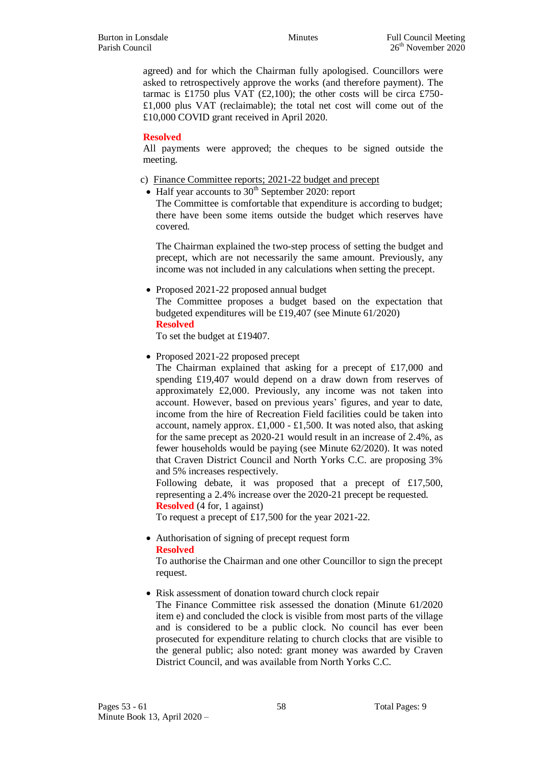agreed) and for which the Chairman fully apologised. Councillors were asked to retrospectively approve the works (and therefore payment). The tarmac is £1750 plus VAT  $(E2,100)$ ; the other costs will be circa £750-£1,000 plus VAT (reclaimable); the total net cost will come out of the £10,000 COVID grant received in April 2020.

# **Resolved**

All payments were approved; the cheques to be signed outside the meeting.

- c) Finance Committee reports; 2021-22 budget and precept
	- Half year accounts to  $30<sup>th</sup>$  September 2020: report

The Committee is comfortable that expenditure is according to budget; there have been some items outside the budget which reserves have covered.

The Chairman explained the two-step process of setting the budget and precept, which are not necessarily the same amount. Previously, any income was not included in any calculations when setting the precept.

• Proposed 2021-22 proposed annual budget

The Committee proposes a budget based on the expectation that budgeted expenditures will be £19,407 (see Minute 61/2020) **Resolved**

To set the budget at £19407.

• Proposed 2021-22 proposed precept

The Chairman explained that asking for a precept of £17,000 and spending £19,407 would depend on a draw down from reserves of approximately £2,000. Previously, any income was not taken into account. However, based on previous years' figures, and year to date, income from the hire of Recreation Field facilities could be taken into account, namely approx.  $\pounds1,000 - \pounds1,500$ . It was noted also, that asking for the same precept as 2020-21 would result in an increase of 2.4%, as fewer households would be paying (see Minute 62/2020). It was noted that Craven District Council and North Yorks C.C. are proposing 3% and 5% increases respectively.

Following debate, it was proposed that a precept of £17,500, representing a 2.4% increase over the 2020-21 precept be requested. **Resolved** (4 for, 1 against)

To request a precept of £17,500 for the year 2021-22.

 Authorisation of signing of precept request form **Resolved**

To authorise the Chairman and one other Councillor to sign the precept request.

• Risk assessment of donation toward church clock repair The Finance Committee risk assessed the donation (Minute 61/2020 item e) and concluded the clock is visible from most parts of the village and is considered to be a public clock. No council has ever been prosecuted for expenditure relating to church clocks that are visible to the general public; also noted: grant money was awarded by Craven

District Council, and was available from North Yorks C.C.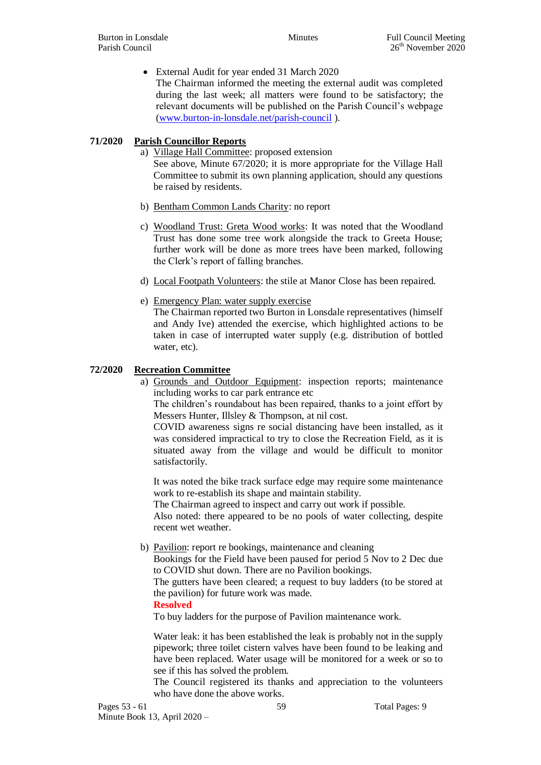External Audit for year ended 31 March 2020

The Chairman informed the meeting the external audit was completed during the last week; all matters were found to be satisfactory; the relevant documents will be published on the Parish Council's webpage [\(www.burton-in-lonsdale.net/parish-council](http://www.burton-in-lonsdale.net/parish-council) ).

# **71/2020 Parish Councillor Reports**

a) Village Hall Committee: proposed extension See above, Minute 67/2020; it is more appropriate for the Village Hall Committee to submit its own planning application, should any questions be raised by residents.

- b) Bentham Common Lands Charity: no report
- c) Woodland Trust: Greta Wood works: It was noted that the Woodland Trust has done some tree work alongside the track to Greeta House; further work will be done as more trees have been marked, following the Clerk's report of falling branches.
- d) Local Footpath Volunteers: the stile at Manor Close has been repaired.
- e) Emergency Plan: water supply exercise

The Chairman reported two Burton in Lonsdale representatives (himself and Andy Ive) attended the exercise, which highlighted actions to be taken in case of interrupted water supply (e.g. distribution of bottled water, etc).

#### **72/2020 Recreation Committee**

a) Grounds and Outdoor Equipment: inspection reports; maintenance including works to car park entrance etc

The children's roundabout has been repaired, thanks to a joint effort by Messers Hunter, Illsley & Thompson, at nil cost.

COVID awareness signs re social distancing have been installed, as it was considered impractical to try to close the Recreation Field, as it is situated away from the village and would be difficult to monitor satisfactorily.

It was noted the bike track surface edge may require some maintenance work to re-establish its shape and maintain stability.

The Chairman agreed to inspect and carry out work if possible.

Also noted: there appeared to be no pools of water collecting, despite recent wet weather.

b) Pavilion: report re bookings, maintenance and cleaning

Bookings for the Field have been paused for period 5 Nov to 2 Dec due to COVID shut down. There are no Pavilion bookings.

The gutters have been cleared; a request to buy ladders (to be stored at the pavilion) for future work was made.

#### **Resolved**

To buy ladders for the purpose of Pavilion maintenance work.

Water leak: it has been established the leak is probably not in the supply pipework; three toilet cistern valves have been found to be leaking and have been replaced. Water usage will be monitored for a week or so to see if this has solved the problem.

The Council registered its thanks and appreciation to the volunteers who have done the above works.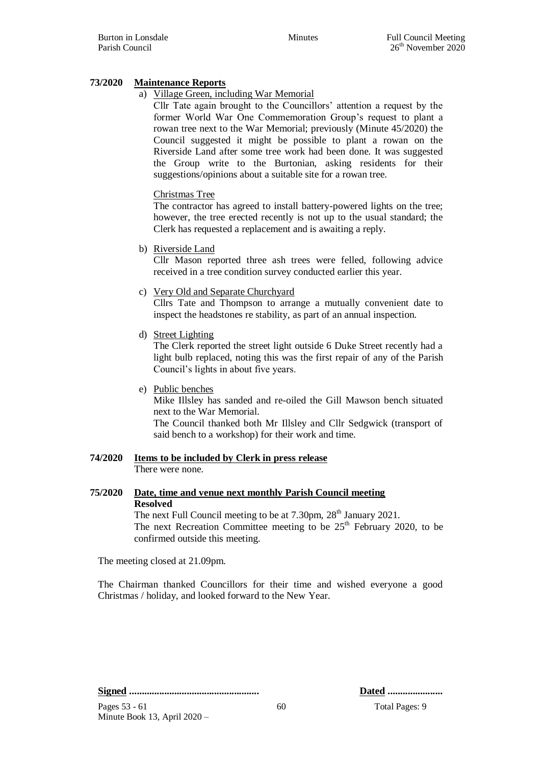# **73/2020 Maintenance Reports**

# a) Village Green, including War Memorial

Cllr Tate again brought to the Councillors' attention a request by the former World War One Commemoration Group's request to plant a rowan tree next to the War Memorial; previously (Minute 45/2020) the Council suggested it might be possible to plant a rowan on the Riverside Land after some tree work had been done. It was suggested the Group write to the Burtonian, asking residents for their suggestions/opinions about a suitable site for a rowan tree.

#### Christmas Tree

The contractor has agreed to install battery-powered lights on the tree; however, the tree erected recently is not up to the usual standard; the Clerk has requested a replacement and is awaiting a reply.

b) Riverside Land

Cllr Mason reported three ash trees were felled, following advice received in a tree condition survey conducted earlier this year.

#### c) Very Old and Separate Churchyard

Cllrs Tate and Thompson to arrange a mutually convenient date to inspect the headstones re stability, as part of an annual inspection.

d) Street Lighting

The Clerk reported the street light outside 6 Duke Street recently had a light bulb replaced, noting this was the first repair of any of the Parish Council's lights in about five years.

e) Public benches

Mike Illsley has sanded and re-oiled the Gill Mawson bench situated next to the War Memorial.

The Council thanked both Mr Illsley and Cllr Sedgwick (transport of said bench to a workshop) for their work and time.

#### **74/2020 Items to be included by Clerk in press release** There were none.

#### **75/2020 Date, time and venue next monthly Parish Council meeting Resolved** The next Full Council meeting to be at 7.30pm, 28<sup>th</sup> January 2021.

The next Recreation Committee meeting to be  $25<sup>th</sup>$  February 2020, to be confirmed outside this meeting.

The meeting closed at 21.09pm.

The Chairman thanked Councillors for their time and wished everyone a good Christmas / holiday, and looked forward to the New Year.

**Signed .................................................... Dated ......................**